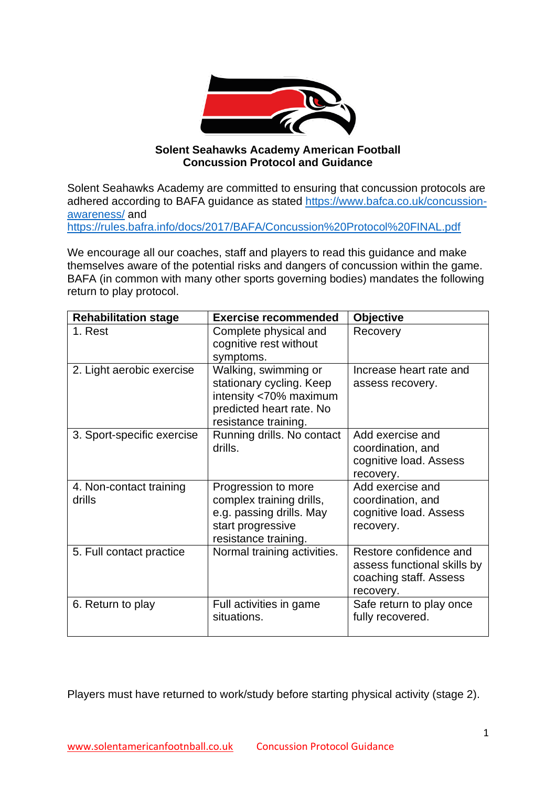

## **Solent Seahawks Academy American Football Concussion Protocol and Guidance**

Solent Seahawks Academy are committed to ensuring that concussion protocols are adhered according to BAFA guidance as stated [https://www.bafca.co.uk/concussion](https://www.bafca.co.uk/concussion-awareness/)[awareness/](https://www.bafca.co.uk/concussion-awareness/) and <https://rules.bafra.info/docs/2017/BAFA/Concussion%20Protocol%20FINAL.pdf>

We encourage all our coaches, staff and players to read this guidance and make themselves aware of the potential risks and dangers of concussion within the game. BAFA (in common with many other sports governing bodies) mandates the following return to play protocol.

| <b>Rehabilitation stage</b>       | <b>Exercise recommended</b>                                                                                                    | <b>Objective</b>                                                                             |
|-----------------------------------|--------------------------------------------------------------------------------------------------------------------------------|----------------------------------------------------------------------------------------------|
| 1. Rest                           | Complete physical and<br>cognitive rest without<br>symptoms.                                                                   | Recovery                                                                                     |
| 2. Light aerobic exercise         | Walking, swimming or<br>stationary cycling. Keep<br>intensity <70% maximum<br>predicted heart rate. No<br>resistance training. | Increase heart rate and<br>assess recovery.                                                  |
| 3. Sport-specific exercise        | Running drills. No contact<br>drills.                                                                                          | Add exercise and<br>coordination, and<br>cognitive load. Assess<br>recovery.                 |
| 4. Non-contact training<br>drills | Progression to more<br>complex training drills,<br>e.g. passing drills. May<br>start progressive<br>resistance training.       | Add exercise and<br>coordination, and<br>cognitive load. Assess<br>recovery.                 |
| 5. Full contact practice          | Normal training activities.                                                                                                    | Restore confidence and<br>assess functional skills by<br>coaching staff. Assess<br>recovery. |
| 6. Return to play                 | Full activities in game<br>situations.                                                                                         | Safe return to play once<br>fully recovered.                                                 |

Players must have returned to work/study before starting physical activity (stage 2).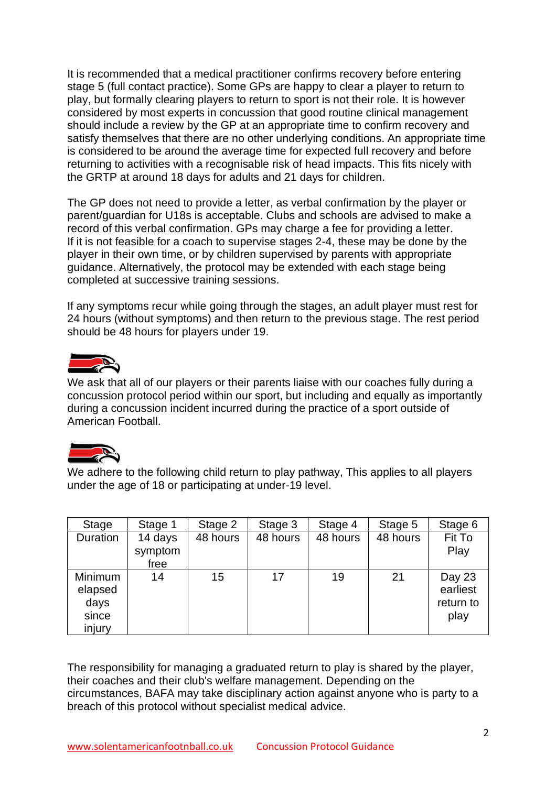It is recommended that a medical practitioner confirms recovery before entering stage 5 (full contact practice). Some GPs are happy to clear a player to return to play, but formally clearing players to return to sport is not their role. It is however considered by most experts in concussion that good routine clinical management should include a review by the GP at an appropriate time to confirm recovery and satisfy themselves that there are no other underlying conditions. An appropriate time is considered to be around the average time for expected full recovery and before returning to activities with a recognisable risk of head impacts. This fits nicely with the GRTP at around 18 days for adults and 21 days for children.

The GP does not need to provide a letter, as verbal confirmation by the player or parent/guardian for U18s is acceptable. Clubs and schools are advised to make a record of this verbal confirmation. GPs may charge a fee for providing a letter. If it is not feasible for a coach to supervise stages 2-4, these may be done by the player in their own time, or by children supervised by parents with appropriate guidance. Alternatively, the protocol may be extended with each stage being completed at successive training sessions.

If any symptoms recur while going through the stages, an adult player must rest for 24 hours (without symptoms) and then return to the previous stage. The rest period should be 48 hours for players under 19.



We ask that all of our players or their parents liaise with our coaches fully during a concussion protocol period within our sport, but including and equally as importantly during a concussion incident incurred during the practice of a sport outside of American Football.



We adhere to the following child return to play pathway, This applies to all players under the age of 18 or participating at under-19 level.

| Stage                                         | Stage 1                    | Stage 2  | Stage 3  | Stage 4  | Stage 5  | Stage 6                                 |
|-----------------------------------------------|----------------------------|----------|----------|----------|----------|-----------------------------------------|
| Duration                                      | 14 days<br>symptom<br>free | 48 hours | 48 hours | 48 hours | 48 hours | Fit To<br>Play                          |
| Minimum<br>elapsed<br>days<br>since<br>injury | 14                         | 15       | 17       | 19       | 21       | Day 23<br>earliest<br>return to<br>play |

The responsibility for managing a graduated return to play is shared by the player, their coaches and their club's welfare management. Depending on the circumstances, BAFA may take disciplinary action against anyone who is party to a breach of this protocol without specialist medical advice.